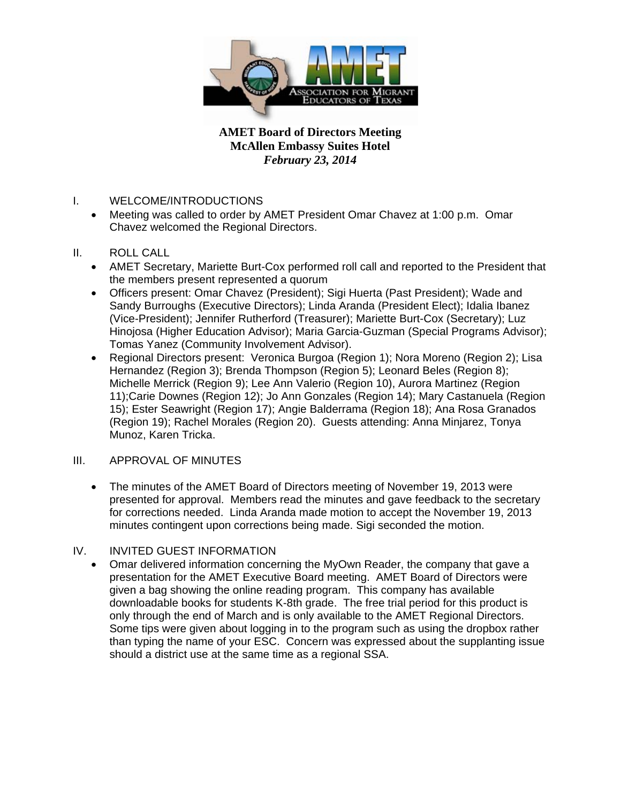

- I. WELCOME/INTRODUCTIONS
	- Meeting was called to order by AMET President Omar Chavez at 1:00 p.m. Omar Chavez welcomed the Regional Directors.
- II. ROLL CALL
	- AMET Secretary, Mariette Burt-Cox performed roll call and reported to the President that the members present represented a quorum
	- Officers present: Omar Chavez (President); Sigi Huerta (Past President); Wade and Sandy Burroughs (Executive Directors); Linda Aranda (President Elect); Idalia Ibanez (Vice-President); Jennifer Rutherford (Treasurer); Mariette Burt-Cox (Secretary); Luz Hinojosa (Higher Education Advisor); Maria Garcia-Guzman (Special Programs Advisor); Tomas Yanez (Community Involvement Advisor).
	- Regional Directors present: Veronica Burgoa (Region 1): Nora Moreno (Region 2): Lisa Hernandez (Region 3); Brenda Thompson (Region 5); Leonard Beles (Region 8); Michelle Merrick (Region 9); Lee Ann Valerio (Region 10), Aurora Martinez (Region 11);Carie Downes (Region 12); Jo Ann Gonzales (Region 14); Mary Castanuela (Region 15); Ester Seawright (Region 17); Angie Balderrama (Region 18); Ana Rosa Granados (Region 19); Rachel Morales (Region 20). Guests attending: Anna Minjarez, Tonya Munoz, Karen Tricka.

### III. APPROVAL OF MINUTES

• The minutes of the AMET Board of Directors meeting of November 19, 2013 were presented for approval. Members read the minutes and gave feedback to the secretary for corrections needed. Linda Aranda made motion to accept the November 19, 2013 minutes contingent upon corrections being made. Sigi seconded the motion.

### IV. INVITED GUEST INFORMATION

• Omar delivered information concerning the MyOwn Reader, the company that gave a presentation for the AMET Executive Board meeting. AMET Board of Directors were given a bag showing the online reading program. This company has available downloadable books for students K-8th grade. The free trial period for this product is only through the end of March and is only available to the AMET Regional Directors. Some tips were given about logging in to the program such as using the dropbox rather than typing the name of your ESC. Concern was expressed about the supplanting issue should a district use at the same time as a regional SSA.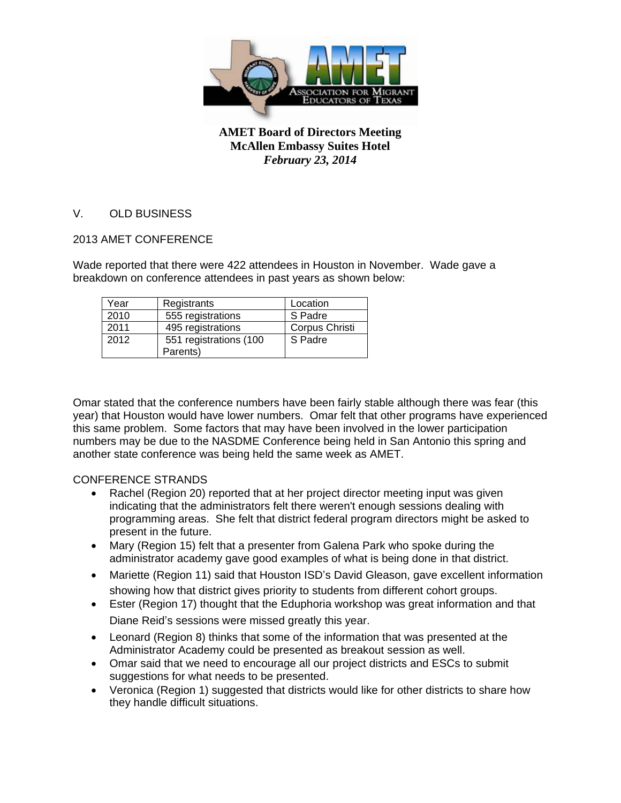

### V. OLD BUSINESS

### 2013 AMET CONFERENCE

Wade reported that there were 422 attendees in Houston in November. Wade gave a breakdown on conference attendees in past years as shown below:

| Year | Registrants            | Location       |
|------|------------------------|----------------|
| 2010 | 555 registrations      | S Padre        |
| 2011 | 495 registrations      | Corpus Christi |
| 2012 | 551 registrations (100 | S Padre        |
|      | Parents)               |                |

Omar stated that the conference numbers have been fairly stable although there was fear (this year) that Houston would have lower numbers. Omar felt that other programs have experienced this same problem. Some factors that may have been involved in the lower participation numbers may be due to the NASDME Conference being held in San Antonio this spring and another state conference was being held the same week as AMET.

### CONFERENCE STRANDS

- Rachel (Region 20) reported that at her project director meeting input was given indicating that the administrators felt there weren't enough sessions dealing with programming areas. She felt that district federal program directors might be asked to present in the future.
- Mary (Region 15) felt that a presenter from Galena Park who spoke during the administrator academy gave good examples of what is being done in that district.
- Mariette (Region 11) said that Houston ISD's David Gleason, gave excellent information showing how that district gives priority to students from different cohort groups.
- Ester (Region 17) thought that the Eduphoria workshop was great information and that Diane Reid's sessions were missed greatly this year.
- Leonard (Region 8) thinks that some of the information that was presented at the Administrator Academy could be presented as breakout session as well.
- Omar said that we need to encourage all our project districts and ESCs to submit suggestions for what needs to be presented.
- Veronica (Region 1) suggested that districts would like for other districts to share how they handle difficult situations.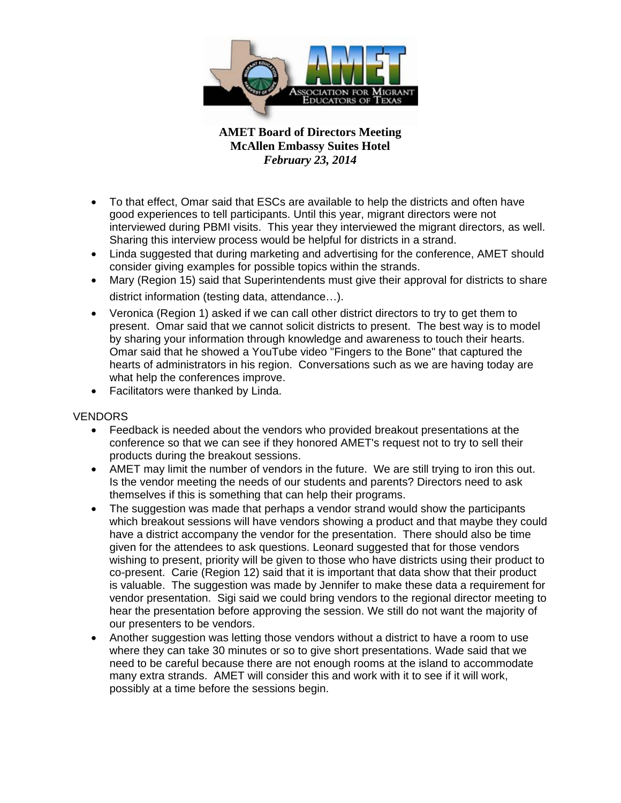

- To that effect, Omar said that ESCs are available to help the districts and often have good experiences to tell participants. Until this year, migrant directors were not interviewed during PBMI visits. This year they interviewed the migrant directors, as well. Sharing this interview process would be helpful for districts in a strand.
- Linda suggested that during marketing and advertising for the conference, AMET should consider giving examples for possible topics within the strands.
- Mary (Region 15) said that Superintendents must give their approval for districts to share district information (testing data, attendance…).
- Veronica (Region 1) asked if we can call other district directors to try to get them to present. Omar said that we cannot solicit districts to present. The best way is to model by sharing your information through knowledge and awareness to touch their hearts. Omar said that he showed a YouTube video "Fingers to the Bone" that captured the hearts of administrators in his region. Conversations such as we are having today are what help the conferences improve.
- Facilitators were thanked by Linda.

### **VENDORS**

- Feedback is needed about the vendors who provided breakout presentations at the conference so that we can see if they honored AMET's request not to try to sell their products during the breakout sessions.
- AMET may limit the number of vendors in the future. We are still trying to iron this out. Is the vendor meeting the needs of our students and parents? Directors need to ask themselves if this is something that can help their programs.
- The suggestion was made that perhaps a vendor strand would show the participants which breakout sessions will have vendors showing a product and that maybe they could have a district accompany the vendor for the presentation. There should also be time given for the attendees to ask questions. Leonard suggested that for those vendors wishing to present, priority will be given to those who have districts using their product to co-present. Carie (Region 12) said that it is important that data show that their product is valuable. The suggestion was made by Jennifer to make these data a requirement for vendor presentation. Sigi said we could bring vendors to the regional director meeting to hear the presentation before approving the session. We still do not want the majority of our presenters to be vendors.
- Another suggestion was letting those vendors without a district to have a room to use where they can take 30 minutes or so to give short presentations. Wade said that we need to be careful because there are not enough rooms at the island to accommodate many extra strands. AMET will consider this and work with it to see if it will work, possibly at a time before the sessions begin.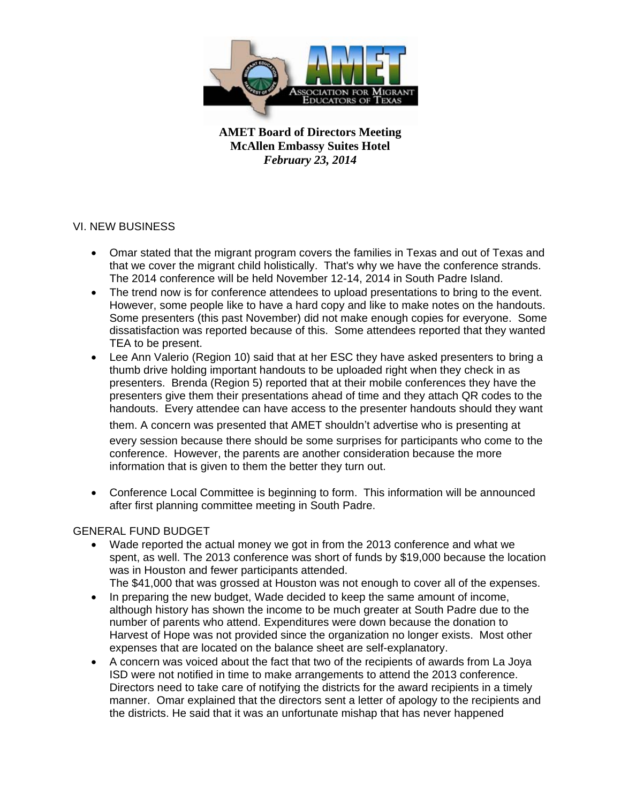

## VI. NEW BUSINESS

- Omar stated that the migrant program covers the families in Texas and out of Texas and that we cover the migrant child holistically. That's why we have the conference strands. The 2014 conference will be held November 12-14, 2014 in South Padre Island.
- The trend now is for conference attendees to upload presentations to bring to the event. However, some people like to have a hard copy and like to make notes on the handouts. Some presenters (this past November) did not make enough copies for everyone. Some dissatisfaction was reported because of this. Some attendees reported that they wanted TEA to be present.
- Lee Ann Valerio (Region 10) said that at her ESC they have asked presenters to bring a thumb drive holding important handouts to be uploaded right when they check in as presenters. Brenda (Region 5) reported that at their mobile conferences they have the presenters give them their presentations ahead of time and they attach QR codes to the handouts. Every attendee can have access to the presenter handouts should they want

them. A concern was presented that AMET shouldn't advertise who is presenting at every session because there should be some surprises for participants who come to the conference. However, the parents are another consideration because the more information that is given to them the better they turn out.

• Conference Local Committee is beginning to form. This information will be announced after first planning committee meeting in South Padre.

### GENERAL FUND BUDGET

- Wade reported the actual money we got in from the 2013 conference and what we spent, as well. The 2013 conference was short of funds by \$19,000 because the location was in Houston and fewer participants attended.
	- The \$41,000 that was grossed at Houston was not enough to cover all of the expenses.
- In preparing the new budget, Wade decided to keep the same amount of income, although history has shown the income to be much greater at South Padre due to the number of parents who attend. Expenditures were down because the donation to Harvest of Hope was not provided since the organization no longer exists. Most other expenses that are located on the balance sheet are self-explanatory.
- A concern was voiced about the fact that two of the recipients of awards from La Joya ISD were not notified in time to make arrangements to attend the 2013 conference. Directors need to take care of notifying the districts for the award recipients in a timely manner. Omar explained that the directors sent a letter of apology to the recipients and the districts. He said that it was an unfortunate mishap that has never happened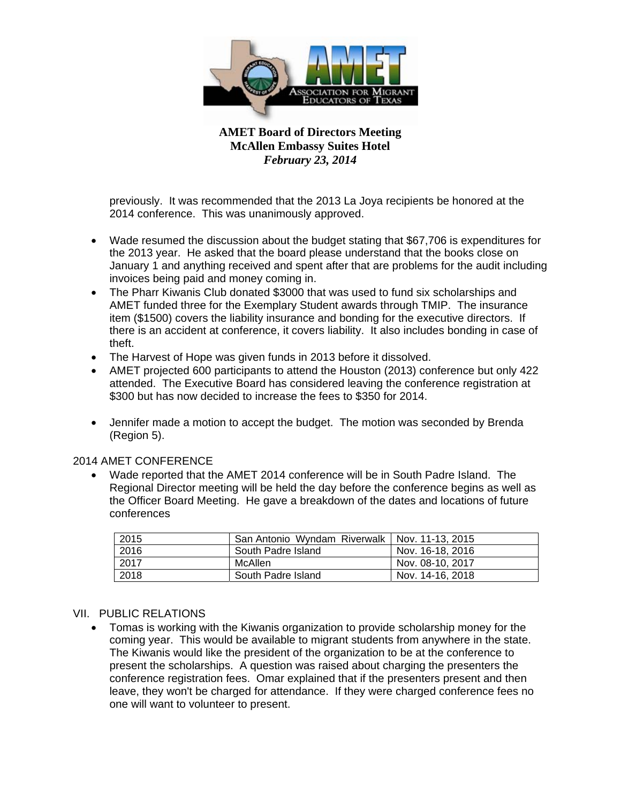

previously. It was recommended that the 2013 La Joya recipients be honored at the 2014 conference. This was unanimously approved.

- Wade resumed the discussion about the budget stating that \$67,706 is expenditures for the 2013 year. He asked that the board please understand that the books close on January 1 and anything received and spent after that are problems for the audit including invoices being paid and money coming in.
- The Pharr Kiwanis Club donated \$3000 that was used to fund six scholarships and AMET funded three for the Exemplary Student awards through TMIP. The insurance item (\$1500) covers the liability insurance and bonding for the executive directors. If there is an accident at conference, it covers liability. It also includes bonding in case of theft.
- The Harvest of Hope was given funds in 2013 before it dissolved.
- AMET projected 600 participants to attend the Houston (2013) conference but only 422 attended. The Executive Board has considered leaving the conference registration at \$300 but has now decided to increase the fees to \$350 for 2014.
- Jennifer made a motion to accept the budget. The motion was seconded by Brenda (Region 5).

### 2014 AMET CONFERENCE

• Wade reported that the AMET 2014 conference will be in South Padre Island. The Regional Director meeting will be held the day before the conference begins as well as the Officer Board Meeting. He gave a breakdown of the dates and locations of future conferences

| 2015 | San Antonio Wyndam Riverwalk   Nov. 11-13, 2015 |                  |
|------|-------------------------------------------------|------------------|
| 2016 | South Padre Island                              | Nov. 16-18, 2016 |
| 2017 | McAllen                                         | Nov. 08-10, 2017 |
| 2018 | South Padre Island                              | Nov. 14-16, 2018 |

#### VII. PUBLIC RELATIONS

• Tomas is working with the Kiwanis organization to provide scholarship money for the coming year. This would be available to migrant students from anywhere in the state. The Kiwanis would like the president of the organization to be at the conference to present the scholarships. A question was raised about charging the presenters the conference registration fees. Omar explained that if the presenters present and then leave, they won't be charged for attendance. If they were charged conference fees no one will want to volunteer to present.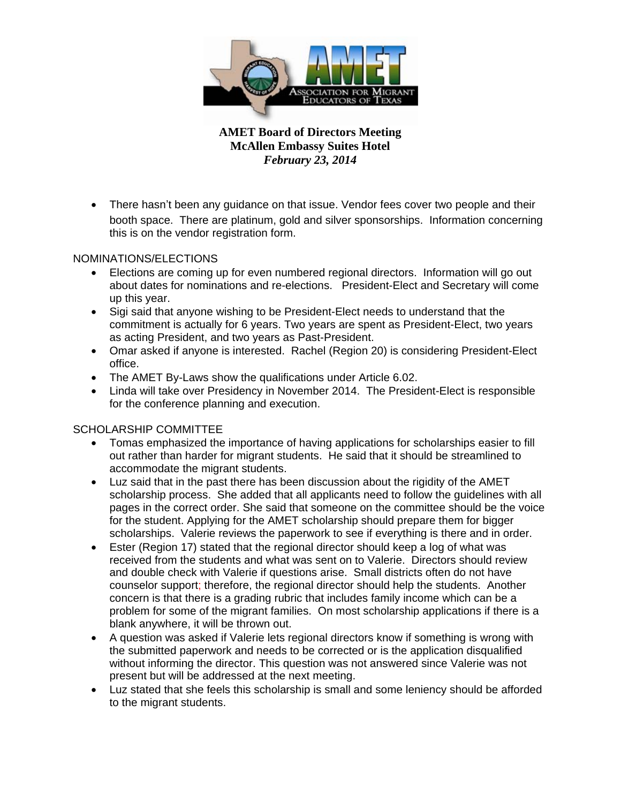

• There hasn't been any guidance on that issue. Vendor fees cover two people and their booth space. There are platinum, gold and silver sponsorships. Information concerning this is on the vendor registration form.

## NOMINATIONS/ELECTIONS

- Elections are coming up for even numbered regional directors. Information will go out about dates for nominations and re-elections. President-Elect and Secretary will come up this year.
- Sigi said that anyone wishing to be President-Elect needs to understand that the commitment is actually for 6 years. Two years are spent as President-Elect, two years as acting President, and two years as Past-President.
- Omar asked if anyone is interested. Rachel (Region 20) is considering President-Elect office.
- The AMET By-Laws show the qualifications under Article 6.02.
- Linda will take over Presidency in November 2014. The President-Elect is responsible for the conference planning and execution.

# SCHOLARSHIP COMMITTEE

- Tomas emphasized the importance of having applications for scholarships easier to fill out rather than harder for migrant students. He said that it should be streamlined to accommodate the migrant students.
- Luz said that in the past there has been discussion about the rigidity of the AMET scholarship process. She added that all applicants need to follow the guidelines with all pages in the correct order. She said that someone on the committee should be the voice for the student. Applying for the AMET scholarship should prepare them for bigger scholarships. Valerie reviews the paperwork to see if everything is there and in order.
- Ester (Region 17) stated that the regional director should keep a log of what was received from the students and what was sent on to Valerie. Directors should review and double check with Valerie if questions arise. Small districts often do not have counselor support; therefore, the regional director should help the students. Another concern is that there is a grading rubric that includes family income which can be a problem for some of the migrant families. On most scholarship applications if there is a blank anywhere, it will be thrown out.
- A question was asked if Valerie lets regional directors know if something is wrong with the submitted paperwork and needs to be corrected or is the application disqualified without informing the director. This question was not answered since Valerie was not present but will be addressed at the next meeting.
- Luz stated that she feels this scholarship is small and some leniency should be afforded to the migrant students.